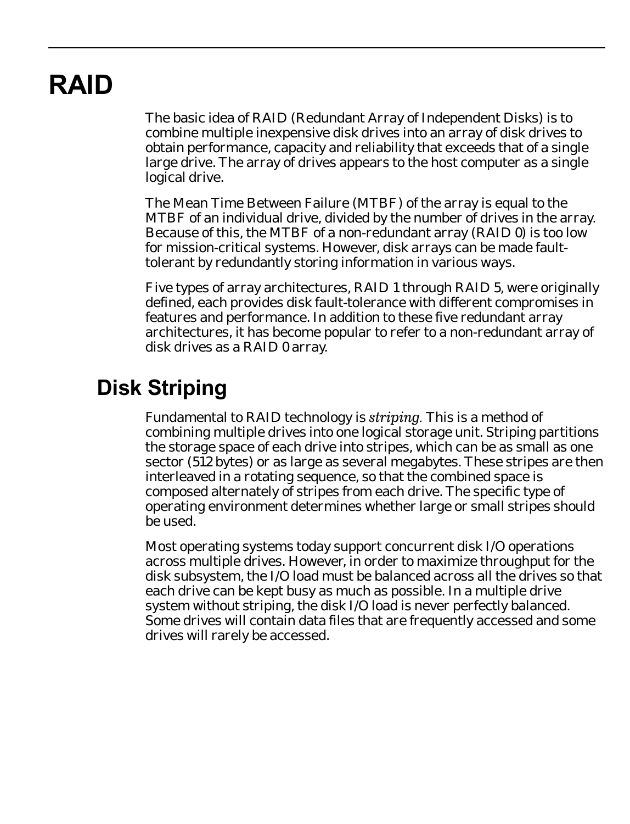# **RAID**

The basic idea of RAID (Redundant Array of Independent Disks) is to combine multiple inexpensive disk drives into an array of disk drives to obtain performance, capacity and reliability that exceeds that of a single large drive. The array of drives appears to the host computer as a single logical drive.

The Mean Time Between Failure (MTBF) of the array is equal to the MTBF of an individual drive, divided by the number of drives in the array. Because of this, the MTBF of a non-redundant array (RAID 0) is too low for mission-critical systems. However, disk arrays can be made faulttolerant by redundantly storing information in various ways.

Five types of array architectures, RAID 1 through RAID 5, were originally defined, each provides disk fault-tolerance with different compromises in features and performance. In addition to these five redundant array architectures, it has become popular to refer to a non-redundant array of disk drives as a RAID 0 array.

## **Disk Striping**

Fundamental to RAID technology is *striping.* This is a method of combining multiple drives into one logical storage unit. Striping partitions the storage space of each drive into stripes, which can be as small as one sector (512 bytes) or as large as several megabytes. These stripes are then interleaved in a rotating sequence, so that the combined space is composed alternately of stripes from each drive. The specific type of operating environment determines whether large or small stripes should be used.

Most operating systems today support concurrent disk I/O operations across multiple drives. However, in order to maximize throughput for the disk subsystem, the I/O load must be balanced across all the drives so that each drive can be kept busy as much as possible. In a multiple drive system without striping, the disk I/O load is never perfectly balanced. Some drives will contain data files that are frequently accessed and some drives will rarely be accessed.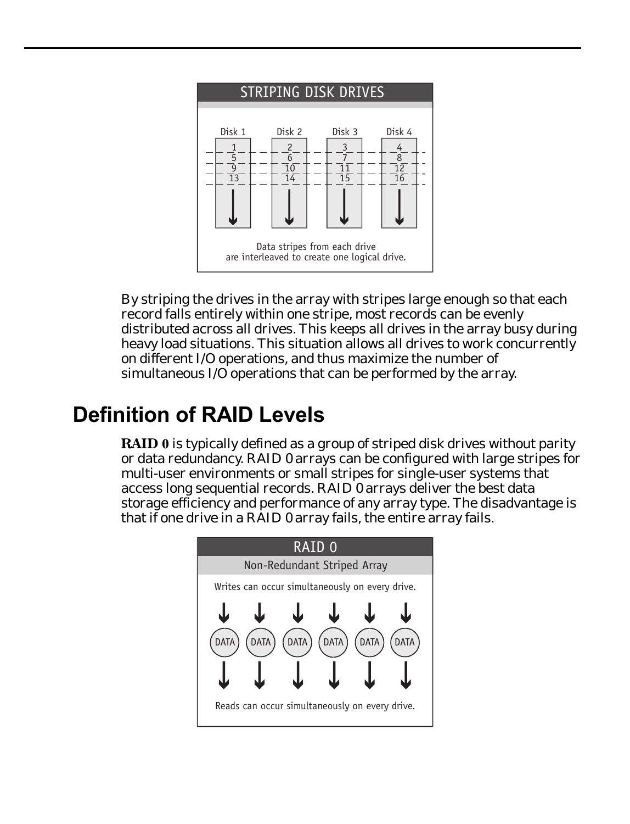

By striping the drives in the array with stripes large enough so that each record falls entirely within one stripe, most records can be evenly distributed across all drives. This keeps all drives in the array busy during heavy load situations. This situation allows all drives to work concurrently on different I/O operations, and thus maximize the number of simultaneous I/O operations that can be performed by the array.

## **Definition of RAID Levels**

**RAID 0** is typically defined as a group of striped disk drives without parity or data redundancy. RAID 0 arrays can be configured with large stripes for multi-user environments or small stripes for single-user systems that access long sequential records. RAID 0 arrays deliver the best data storage efficiency and performance of any array type. The disadvantage is that if one drive in a RAID 0 array fails, the entire array fails.

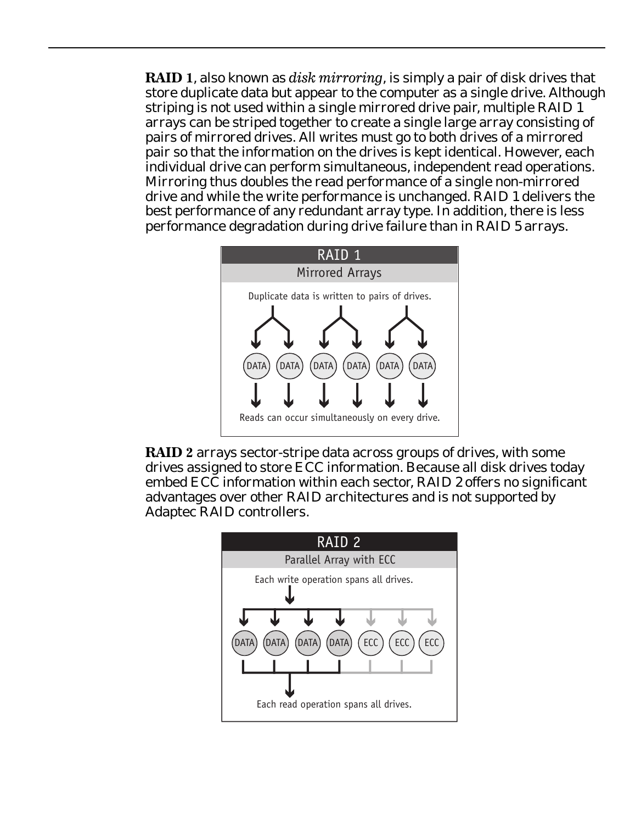**RAID 1**, also known as *disk mirroring*, is simply a pair of disk drives that store duplicate data but appear to the computer as a single drive. Although striping is not used within a single mirrored drive pair, multiple RAID 1 arrays can be striped together to create a single large array consisting of pairs of mirrored drives. All writes must go to both drives of a mirrored pair so that the information on the drives is kept identical. However, each individual drive can perform simultaneous, independent read operations. Mirroring thus doubles the read performance of a single non-mirrored drive and while the write performance is unchanged. RAID 1 delivers the best performance of any redundant array type. In addition, there is less performance degradation during drive failure than in RAID 5 arrays.





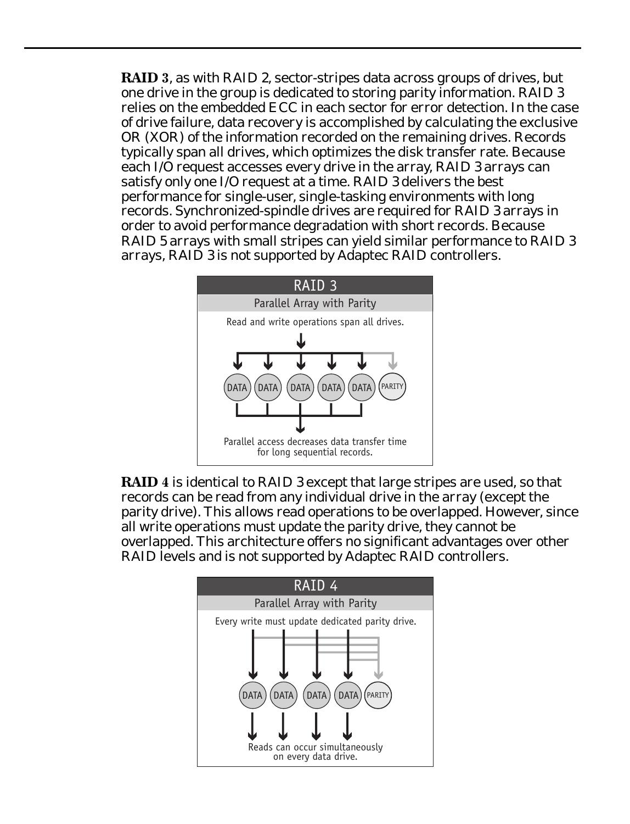**RAID 3**, as with RAID 2, sector-stripes data across groups of drives, but one drive in the group is dedicated to storing parity information. RAID 3 relies on the embedded ECC in each sector for error detection. In the case of drive failure, data recovery is accomplished by calculating the exclusive OR (XOR) of the information recorded on the remaining drives. Records typically span all drives, which optimizes the disk transfer rate. Because each I/O request accesses every drive in the array, RAID 3 arrays can satisfy only one I/O request at a time. RAID 3 delivers the best performance for single-user, single-tasking environments with long records. Synchronized-spindle drives are required for RAID 3 arrays in order to avoid performance degradation with short records. Because RAID 5 arrays with small stripes can yield similar performance to RAID 3 arrays, RAID 3 is not supported by Adaptec RAID controllers.



**RAID 4** is identical to RAID 3 except that large stripes are used, so that records can be read from any individual drive in the array (except the parity drive). This allows read operations to be overlapped. However, since all write operations must update the parity drive, they cannot be overlapped. This architecture offers no significant advantages over other RAID levels and is not supported by Adaptec RAID controllers.

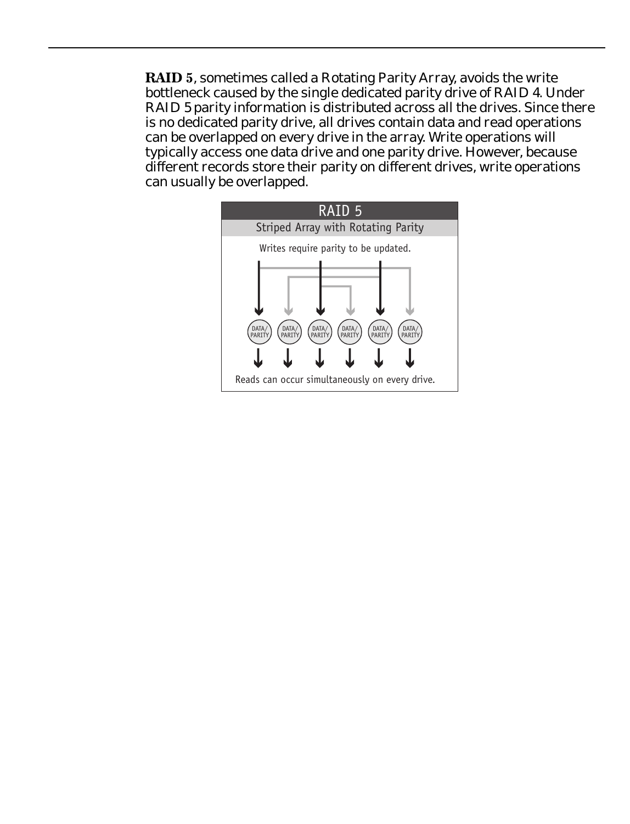**RAID 5**, sometimes called a Rotating Parity Array, avoids the write bottleneck caused by the single dedicated parity drive of RAID 4. Under RAID 5 parity information is distributed across all the drives. Since there is no dedicated parity drive, all drives contain data and read operations can be overlapped on every drive in the array. Write operations will typically access one data drive and one parity drive. However, because different records store their parity on different drives, write operations can usually be overlapped.

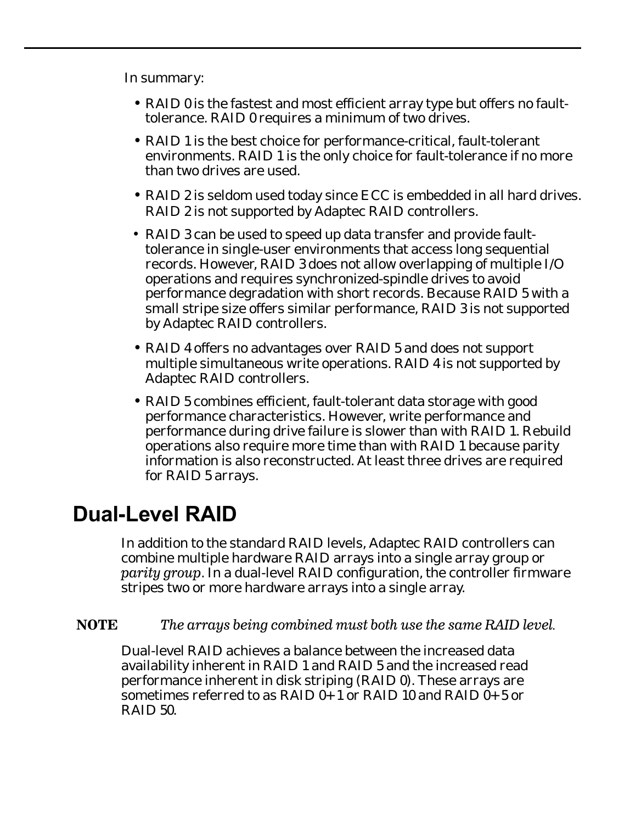In summary:

- RAID 0 is the fastest and most efficient array type but offers no faulttolerance. RAID 0 requires a minimum of two drives.
- RAID 1 is the best choice for performance-critical, fault-tolerant environments. RAID 1 is the only choice for fault-tolerance if no more than two drives are used.
- RAID 2 is seldom used today since ECC is embedded in all hard drives. RAID 2 is not supported by Adaptec RAID controllers.
- RAID 3 can be used to speed up data transfer and provide faulttolerance in single-user environments that access long sequential records. However, RAID 3 does not allow overlapping of multiple I/O operations and requires synchronized-spindle drives to avoid performance degradation with short records. Because RAID 5 with a small stripe size offers similar performance, RAID 3 is not supported by Adaptec RAID controllers.
- RAID 4 offers no advantages over RAID 5 and does not support multiple simultaneous write operations. RAID 4 is not supported by Adaptec RAID controllers.
- RAID 5 combines efficient, fault-tolerant data storage with good performance characteristics. However, write performance and performance during drive failure is slower than with RAID 1. Rebuild operations also require more time than with RAID 1 because parity information is also reconstructed. At least three drives are required for RAID 5 arrays.

## **Dual-Level RAID**

In addition to the standard RAID levels, Adaptec RAID controllers can combine multiple hardware RAID arrays into a single array group or *parity group*. In a dual-level RAID configuration, the controller firmware stripes two or more hardware arrays into a single array.

**NOTE** *The arrays being combined must both use the same RAID level.*

Dual-level RAID achieves a balance between the increased data availability inherent in RAID 1 and RAID 5 and the increased read performance inherent in disk striping (RAID 0). These arrays are sometimes referred to as RAID  $\vec{0+1}$  or RAID 10 and RAID  $\vec{0+5}$  or RAID 50.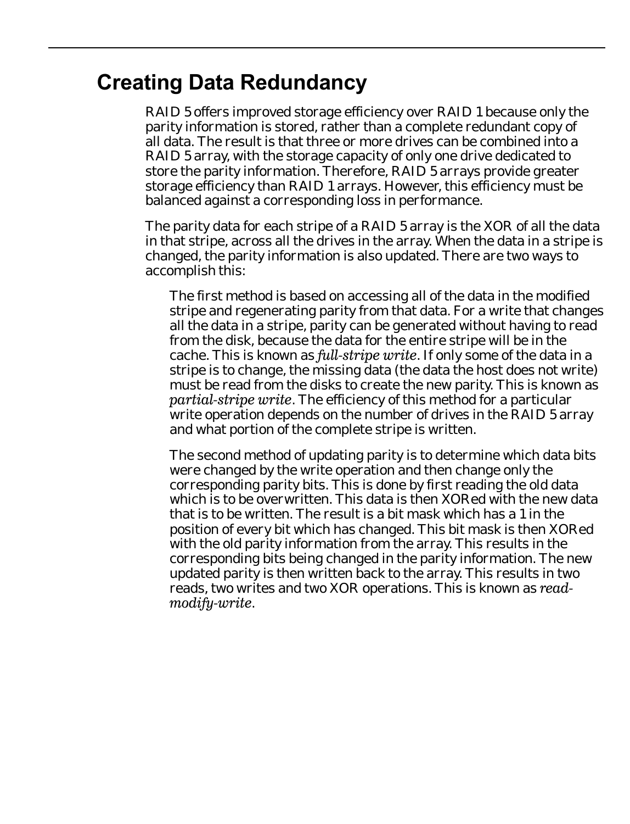#### **Creating Data Redundancy**

RAID 5 offers improved storage efficiency over RAID 1 because only the parity information is stored, rather than a complete redundant copy of all data. The result is that three or more drives can be combined into a RAID 5 array, with the storage capacity of only one drive dedicated to store the parity information. Therefore, RAID 5 arrays provide greater storage efficiency than RAID 1 arrays. However, this efficiency must be balanced against a corresponding loss in performance.

The parity data for each stripe of a RAID 5 array is the XOR of all the data in that stripe, across all the drives in the array. When the data in a stripe is changed, the parity information is also updated. There are two ways to accomplish this:

The first method is based on accessing all of the data in the modified stripe and regenerating parity from that data. For a write that changes all the data in a stripe, parity can be generated without having to read from the disk, because the data for the entire stripe will be in the cache. This is known as *full-stripe write*. If only some of the data in a stripe is to change, the missing data (the data the host does not write) must be read from the disks to create the new parity. This is known as *partial-stripe write*. The efficiency of this method for a particular write operation depends on the number of drives in the RAID 5 array and what portion of the complete stripe is written.

The second method of updating parity is to determine which data bits were changed by the write operation and then change only the corresponding parity bits. This is done by first reading the old data which is to be overwritten. This data is then XORed with the new data that is to be written. The result is a bit mask which has a 1 in the position of every bit which has changed. This bit mask is then XORed with the old parity information from the array. This results in the corresponding bits being changed in the parity information. The new updated parity is then written back to the array. This results in two reads, two writes and two XOR operations. This is known as *readmodify-write*.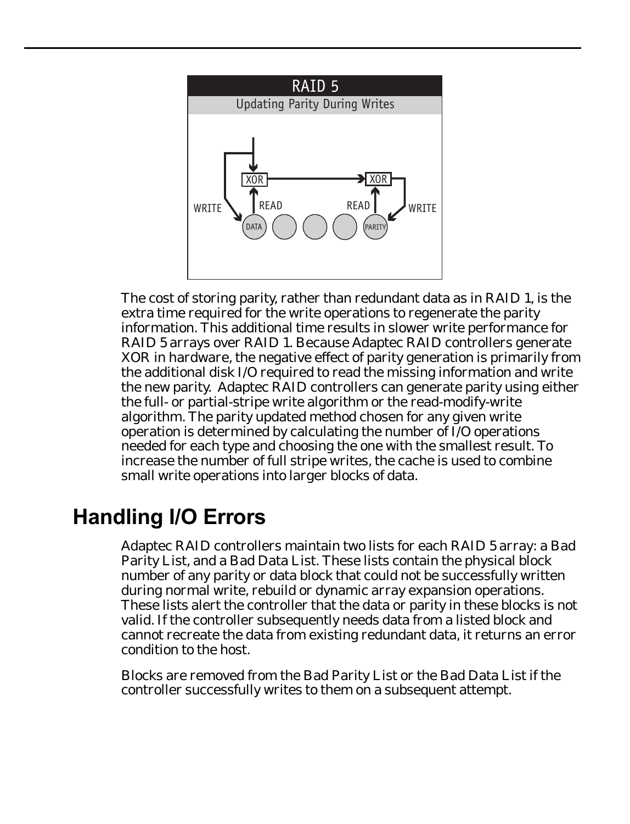

The cost of storing parity, rather than redundant data as in RAID 1, is the extra time required for the write operations to regenerate the parity information. This additional time results in slower write performance for RAID 5 arrays over RAID 1. Because Adaptec RAID controllers generate XOR in hardware, the negative effect of parity generation is primarily from the additional disk I/O required to read the missing information and write the new parity. Adaptec RAID controllers can generate parity using either the full- or partial-stripe write algorithm or the read-modify-write algorithm. The parity updated method chosen for any given write operation is determined by calculating the number of I/O operations needed for each type and choosing the one with the smallest result. To increase the number of full stripe writes, the cache is used to combine small write operations into larger blocks of data.

## **Handling I/O Errors**

Adaptec RAID controllers maintain two lists for each RAID 5 array: a Bad Parity List, and a Bad Data List. These lists contain the physical block number of any parity or data block that could not be successfully written during normal write, rebuild or dynamic array expansion operations. These lists alert the controller that the data or parity in these blocks is not valid. If the controller subsequently needs data from a listed block and cannot recreate the data from existing redundant data, it returns an error condition to the host.

Blocks are removed from the Bad Parity List or the Bad Data List if the controller successfully writes to them on a subsequent attempt.